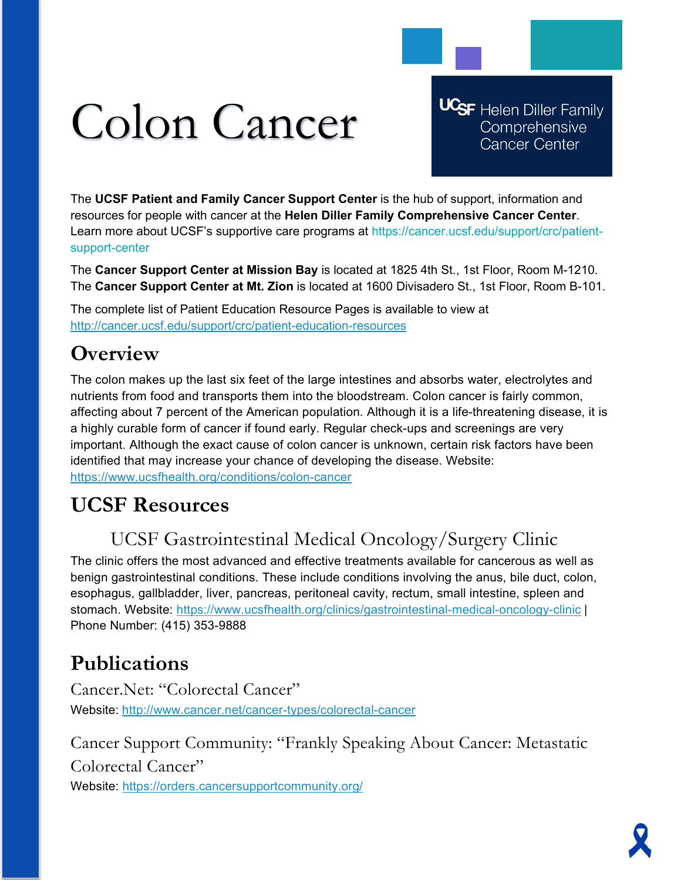# Colon Cancer

**UCSF** Helen Diller Family Comprehensive **Cancer Center** 

The **UCSF Patient and Family Cancer Support Center** is the hub of support, information and resources for people with cancer at the **Helen Diller Family Comprehensive Cancer Center**. Learn more about UCSF's supportive care programs at https://cancer.ucsf.edu/support/crc/patientsupport-center

The **Cancer Support Center at Mission Bay** is located at 1825 4th St., 1st Floor, Room M-1210. The **Cancer Support Center at Mt. Zion** is located at 1600 Divisadero St., 1st Floor, Room B-101.

The complete list of Patient Education Resource Pages is available to view at <http://cancer.ucsf.edu/support/crc/patient-education-resources>

## **Overview**

The colon makes up the last six feet of the large intestines and absorbs water, electrolytes and nutrients from food and transports them into the bloodstream. Colon cancer is fairly common, affecting about 7 percent of the American population. Although it is a life-threatening disease, it is a highly curable form of cancer if found early. Regular check-ups and screenings are very important. Although the exact cause of colon cancer is unknown, certain risk factors have been identified that may increase your chance of developing the disease. Website: <https://www.ucsfhealth.org/conditions/colon-cancer>

## **UCSF Resources**

## UCSF Gastrointestinal Medical Oncology/Surgery Clinic

The clinic offers the most advanced and effective treatments available for cancerous as well as benign gastrointestinal conditions. These include conditions involving the anus, bile duct, colon, esophagus, gallbladder, liver, pancreas, peritoneal cavity, rectum, small intestine, spleen and stomach. Website:<https://www.ucsfhealth.org/clinics/gastrointestinal-medical-oncology-clinic> | Phone Number: (415) 353-9888

## **Publications**

Cancer.Net: "Colorectal Cancer" Website: <http://www.cancer.net/cancer-types/colorectal-cancer>

Cancer Support Community: "Frankly Speaking About Cancer: Metastatic Colorectal Cancer" Website:<https://orders.cancersupportcommunity.org/>